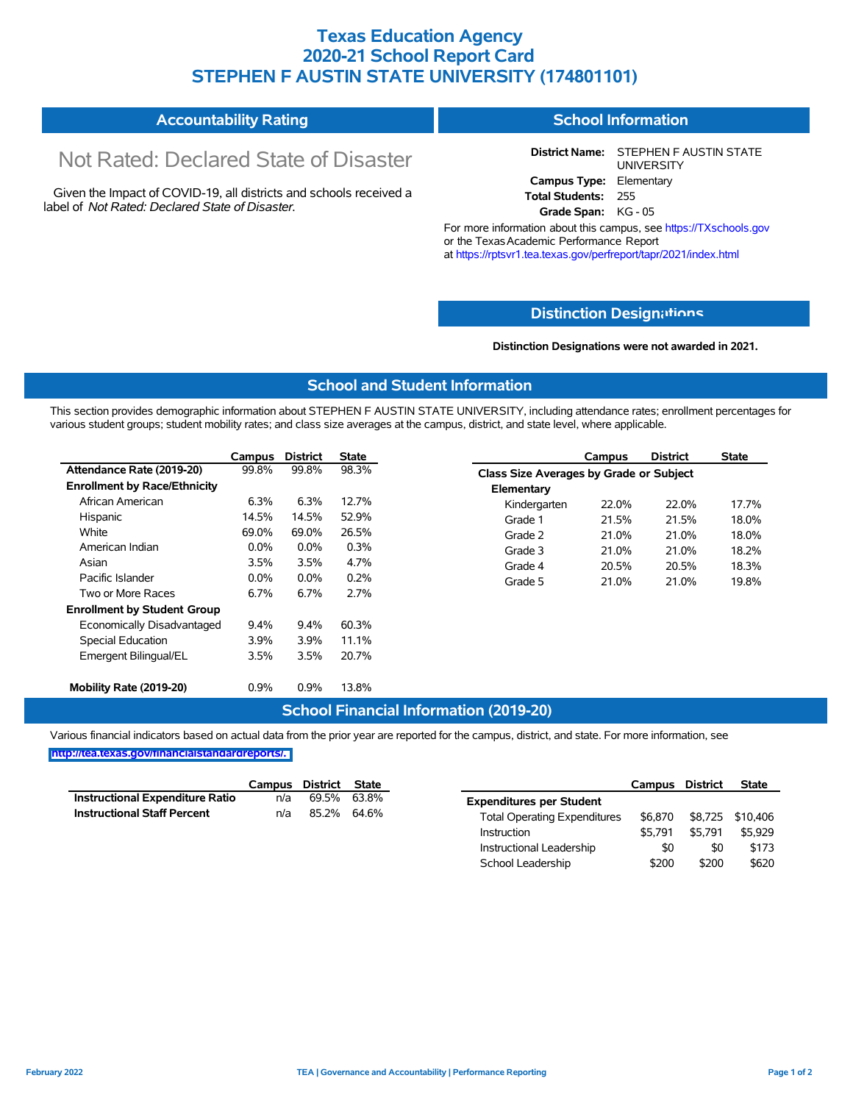# **Texas Education Agency 2020-21 School Report Card STEPHEN F AUSTIN STATE UNIVERSITY (174801101)**

#### **Accountability Rating School Information**

# Not Rated: Declared State of Disaster

Given the Impact of COVID-19, all districts and schools received a label of *Not Rated: Declared State of Disaster.*

**District Name:** STEPHEN F AUSTIN STATE UNIVERSITY **Campus Type:** Elementary **Total Students:** 255 **Grade Span:** KG - 05

For more information about this campus, see https://TXschools.gov or the Texas Academic Performance Report at https://rptsvr1.tea.texas.gov/perfreport/tapr/2021/index.html

### **Distinction Design[ations](https://TXschools.gov)**

**Distinction Designations were not awarded in 2021.**

#### **School and Student Information**

This section provides demographic information about STEPHEN F AUSTIN STATE UNIVERSITY, including attendance rates; enrollment percentages for various student groups; student mobility rates; and class size averages at the campus, district, and state level, where applicable.

|                                     | Campus  | <b>District</b> | <b>State</b> |
|-------------------------------------|---------|-----------------|--------------|
| Attendance Rate (2019-20)           | 99.8%   | 99.8%           | 98.3%        |
| <b>Enrollment by Race/Ethnicity</b> |         |                 |              |
| African American                    | $6.3\%$ | 6.3%            | 12.7%        |
| Hispanic                            | 14.5%   | 14.5%           | 52.9%        |
| White                               | 69.0%   | 69.0%           | 26.5%        |
| American Indian                     | $0.0\%$ | $0.0\%$         | 0.3%         |
| Asian                               | 3.5%    | 3.5%            | 4.7%         |
| Pacific Islander                    | $0.0\%$ | $0.0\%$         | 0.2%         |
| Two or More Races                   | 6.7%    | 6.7%            | 2.7%         |
| <b>Enrollment by Student Group</b>  |         |                 |              |
| Economically Disadvantaged          | $9.4\%$ | $9.4\%$         | 60.3%        |
| <b>Special Education</b>            | 3.9%    | 3.9%            | 11.1%        |
| Emergent Bilingual/EL               | 3.5%    | 3.5%            | 20.7%        |
| Mobility Rate (2019-20)             | 0.9%    | $0.9\%$         | 13.8%        |

|                                         | Campus | <b>District</b> | <b>State</b> |  |  |  |  |  |
|-----------------------------------------|--------|-----------------|--------------|--|--|--|--|--|
| Class Size Averages by Grade or Subject |        |                 |              |  |  |  |  |  |
| Elementary                              |        |                 |              |  |  |  |  |  |
| Kindergarten                            | 22.0%  | 22.0%           | 17.7%        |  |  |  |  |  |
| Grade 1                                 | 21.5%  | 21.5%           | 18.0%        |  |  |  |  |  |
| Grade 2                                 | 21.0%  | 21.0%           | 18.0%        |  |  |  |  |  |
| Grade 3                                 | 21.0%  | 21.0%           | 18.2%        |  |  |  |  |  |
| Grade 4                                 | 20.5%  | 20.5%           | 18.3%        |  |  |  |  |  |
| Grade 5                                 | 21.0%  | 21.0%           | 19.8%        |  |  |  |  |  |

#### **School Financial Information (2019-20)**

Various financial indicators based on actual data from the prior year are reported for the campus, district, and state. For more information, see **[http://tea.texas.gov/financialstandardreports/.](http://tea.texas.gov/financialstandardreports/)**

|                                    | Campus | District | State |                                     | Campus  | <b>District</b> | <b>State</b> |
|------------------------------------|--------|----------|-------|-------------------------------------|---------|-----------------|--------------|
| Instructional Expenditure Ratio    | n/a    | 69.5%    | 63.8% | <b>Expenditures per Student</b>     |         |                 |              |
| <b>Instructional Staff Percent</b> | n/a    | 85.2%    | 64.6% | <b>Total Operating Expenditures</b> | \$6.870 | \$8,725         | \$10,406     |
|                                    |        |          |       | Instruction                         | \$5.791 | \$5.791         | \$5.929      |
|                                    |        |          |       | Instructional Leadership            | \$0     | \$0             | \$173        |
|                                    |        |          |       | School Leadership                   | \$200   | \$200           | \$620        |